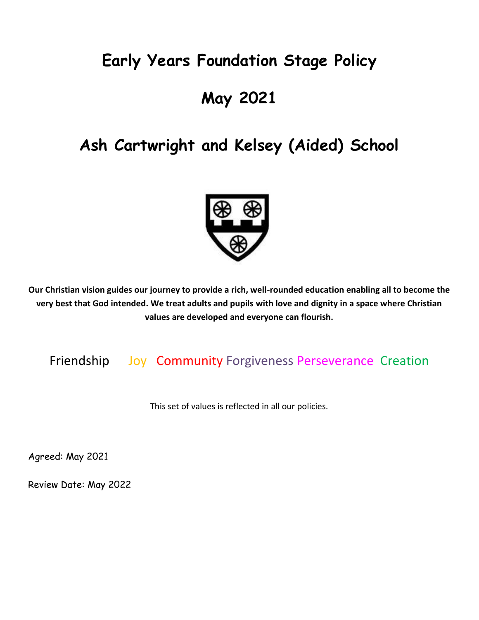# **Early Years Foundation Stage Policy**

# **May 2021**

# **Ash Cartwright and Kelsey (Aided) School**



**Our Christian vision guides our journey to provide a rich, well-rounded education enabling all to become the very best that God intended. We treat adults and pupils with love and dignity in a space where Christian values are developed and everyone can flourish.**

Friendship Joy Community Forgiveness Perseverance Creation

This set of values is reflected in all our policies.

Agreed: May 2021

Review Date: May 2022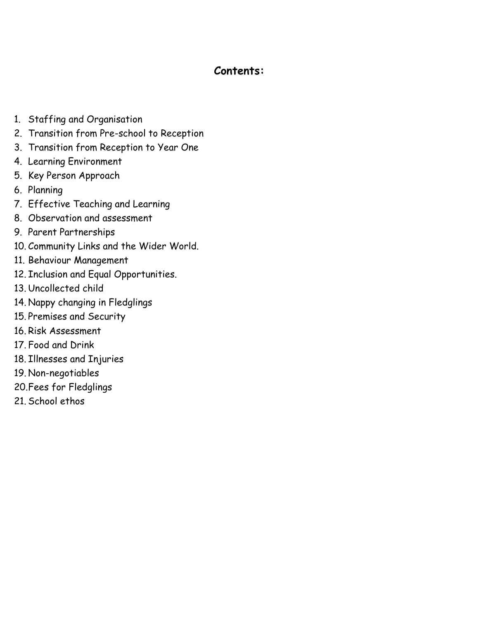## **Contents:**

- 1. Staffing and Organisation
- 2. Transition from Pre-school to Reception
- 3. Transition from Reception to Year One
- 4. Learning Environment
- 5. Key Person Approach
- 6. Planning
- 7. Effective Teaching and Learning
- 8. Observation and assessment
- 9. Parent Partnerships
- 10. Community Links and the Wider World.
- 11. Behaviour Management
- 12. Inclusion and Equal Opportunities.
- 13. Uncollected child
- 14. Nappy changing in Fledglings
- 15. Premises and Security
- 16. Risk Assessment
- 17. Food and Drink
- 18. Illnesses and Injuries
- 19. Non-negotiables
- 20.Fees for Fledglings
- 21. School ethos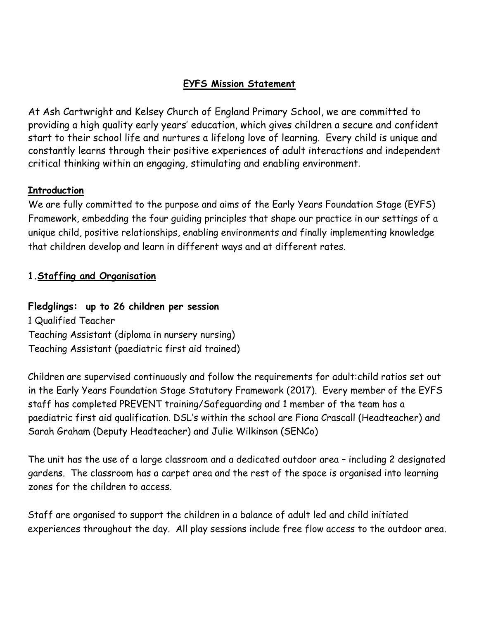## **EYFS Mission Statement**

At Ash Cartwright and Kelsey Church of England Primary School, we are committed to providing a high quality early years' education, which gives children a secure and confident start to their school life and nurtures a lifelong love of learning. Every child is unique and constantly learns through their positive experiences of adult interactions and independent critical thinking within an engaging, stimulating and enabling environment*.* 

#### **Introduction**

We are fully committed to the purpose and aims of the Early Years Foundation Stage (EYFS) Framework, embedding the four guiding principles that shape our practice in our settings of a unique child, positive relationships, enabling environments and finally implementing knowledge that children develop and learn in different ways and at different rates.

## **1.Staffing and Organisation**

#### **Fledglings: up to 26 children per session**

1 Qualified Teacher Teaching Assistant (diploma in nursery nursing) Teaching Assistant (paediatric first aid trained)

Children are supervised continuously and follow the requirements for adult:child ratios set out in the Early Years Foundation Stage Statutory Framework (2017). Every member of the EYFS staff has completed PREVENT training/Safeguarding and 1 member of the team has a paediatric first aid qualification. DSL's within the school are Fiona Crascall (Headteacher) and Sarah Graham (Deputy Headteacher) and Julie Wilkinson (SENCo)

The unit has the use of a large classroom and a dedicated outdoor area – including 2 designated gardens. The classroom has a carpet area and the rest of the space is organised into learning zones for the children to access.

Staff are organised to support the children in a balance of adult led and child initiated experiences throughout the day. All play sessions include free flow access to the outdoor area.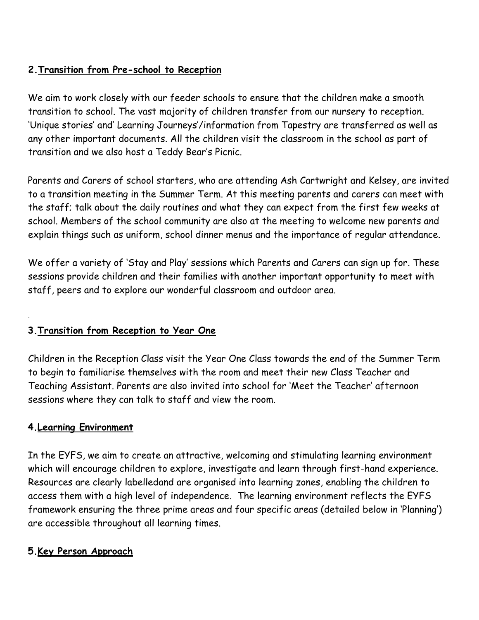## **2.Transition from Pre-school to Reception**

We aim to work closely with our feeder schools to ensure that the children make a smooth transition to school. The vast majority of children transfer from our nursery to reception. 'Unique stories' and' Learning Journeys'/information from Tapestry are transferred as well as any other important documents. All the children visit the classroom in the school as part of transition and we also host a Teddy Bear's Picnic.

Parents and Carers of school starters, who are attending Ash Cartwright and Kelsey, are invited to a transition meeting in the Summer Term. At this meeting parents and carers can meet with the staff; talk about the daily routines and what they can expect from the first few weeks at school. Members of the school community are also at the meeting to welcome new parents and explain things such as uniform, school dinner menus and the importance of regular attendance.

We offer a variety of 'Stay and Play' sessions which Parents and Carers can sign up for. These sessions provide children and their families with another important opportunity to meet with staff, peers and to explore our wonderful classroom and outdoor area.

## **3.Transition from Reception to Year One**

Children in the Reception Class visit the Year One Class towards the end of the Summer Term to begin to familiarise themselves with the room and meet their new Class Teacher and Teaching Assistant. Parents are also invited into school for 'Meet the Teacher' afternoon sessions where they can talk to staff and view the room.

#### **4.Learning Environment**

.

In the EYFS, we aim to create an attractive, welcoming and stimulating learning environment which will encourage children to explore, investigate and learn through first-hand experience. Resources are clearly labelledand are organised into learning zones, enabling the children to access them with a high level of independence. The learning environment reflects the EYFS framework ensuring the three prime areas and four specific areas (detailed below in 'Planning') are accessible throughout all learning times.

#### **5.Key Person Approach**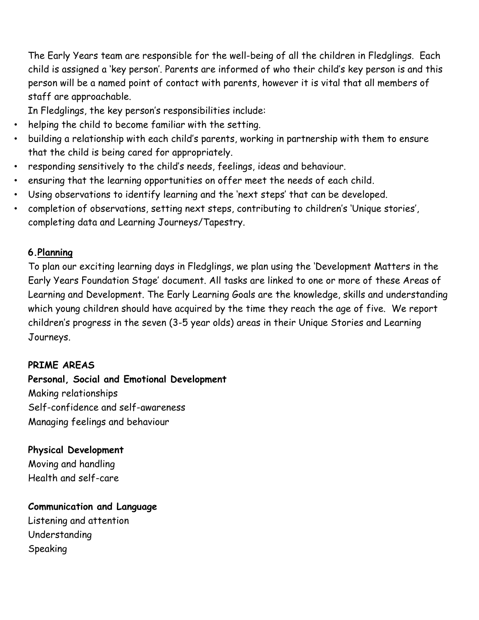The Early Years team are responsible for the well-being of all the children in Fledglings. Each child is assigned a 'key person'. Parents are informed of who their child's key person is and this person will be a named point of contact with parents, however it is vital that all members of staff are approachable.

In Fledglings, the key person's responsibilities include:

- helping the child to become familiar with the setting.
- building a relationship with each child's parents, working in partnership with them to ensure that the child is being cared for appropriately.
- responding sensitively to the child's needs, feelings, ideas and behaviour.
- ensuring that the learning opportunities on offer meet the needs of each child.
- Using observations to identify learning and the 'next steps' that can be developed.
- completion of observations, setting next steps, contributing to children's 'Unique stories', completing data and Learning Journeys/Tapestry.

## **6.Planning**

To plan our exciting learning days in Fledglings, we plan using the 'Development Matters in the Early Years Foundation Stage' document. All tasks are linked to one or more of these Areas of Learning and Development. The Early Learning Goals are the knowledge, skills and understanding which young children should have acquired by the time they reach the age of five. We report children's progress in the seven (3-5 year olds) areas in their Unique Stories and Learning Journeys.

## **PRIME AREAS**

**Personal, Social and Emotional Development**  Making relationships Self-confidence and self-awareness Managing feelings and behaviour

**Physical Development** Moving and handling Health and self-care

**Communication and Language** Listening and attention Understanding Speaking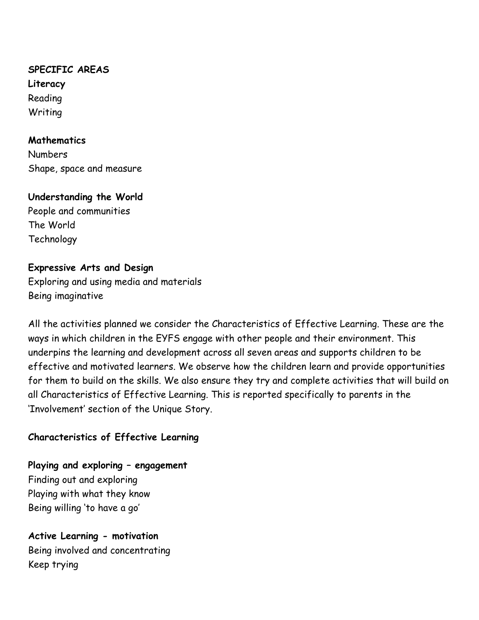### **SPECIFIC AREAS**

**Literacy** Reading Writing

#### **Mathematics**

Numbers Shape, space and measure

#### **Understanding the World**

People and communities The World **Technology** 

## **Expressive Arts and Design**

Exploring and using media and materials Being imaginative

All the activities planned we consider the Characteristics of Effective Learning. These are the ways in which children in the EYFS engage with other people and their environment. This underpins the learning and development across all seven areas and supports children to be effective and motivated learners. We observe how the children learn and provide opportunities for them to build on the skills. We also ensure they try and complete activities that will build on all Characteristics of Effective Learning. This is reported specifically to parents in the 'Involvement' section of the Unique Story.

#### **Characteristics of Effective Learning**

**Playing and exploring – engagement** Finding out and exploring Playing with what they know Being willing 'to have a go'

**Active Learning - motivation** Being involved and concentrating Keep trying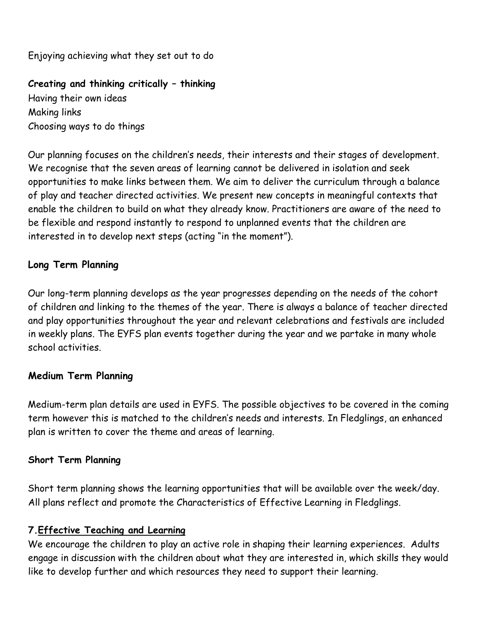Enjoying achieving what they set out to do

**Creating and thinking critically – thinking** Having their own ideas Making links Choosing ways to do things

Our planning focuses on the children's needs, their interests and their stages of development. We recognise that the seven areas of learning cannot be delivered in isolation and seek opportunities to make links between them. We aim to deliver the curriculum through a balance of play and teacher directed activities. We present new concepts in meaningful contexts that enable the children to build on what they already know. Practitioners are aware of the need to be flexible and respond instantly to respond to unplanned events that the children are interested in to develop next steps (acting "in the moment").

## **Long Term Planning**

Our long-term planning develops as the year progresses depending on the needs of the cohort of children and linking to the themes of the year. There is always a balance of teacher directed and play opportunities throughout the year and relevant celebrations and festivals are included in weekly plans. The EYFS plan events together during the year and we partake in many whole school activities.

#### **Medium Term Planning**

Medium-term plan details are used in EYFS. The possible objectives to be covered in the coming term however this is matched to the children's needs and interests. In Fledglings, an enhanced plan is written to cover the theme and areas of learning.

#### **Short Term Planning**

Short term planning shows the learning opportunities that will be available over the week/day. All plans reflect and promote the Characteristics of Effective Learning in Fledglings.

#### **7.Effective Teaching and Learning**

We encourage the children to play an active role in shaping their learning experiences. Adults engage in discussion with the children about what they are interested in, which skills they would like to develop further and which resources they need to support their learning.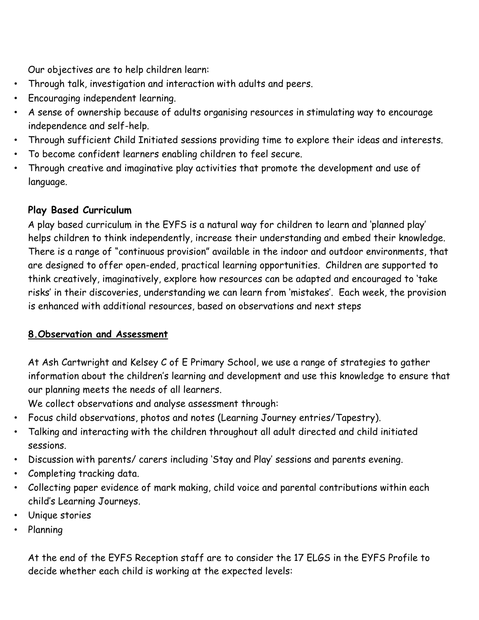Our objectives are to help children learn:

- Through talk, investigation and interaction with adults and peers.
- Encouraging independent learning.
- A sense of ownership because of adults organising resources in stimulating way to encourage independence and self-help.
- Through sufficient Child Initiated sessions providing time to explore their ideas and interests.
- To become confident learners enabling children to feel secure.
- Through creative and imaginative play activities that promote the development and use of language.

#### **Play Based Curriculum**

A play based curriculum in the EYFS is a natural way for children to learn and 'planned play' helps children to think independently, increase their understanding and embed their knowledge. There is a range of "continuous provision" available in the indoor and outdoor environments, that are designed to offer open-ended, practical learning opportunities. Children are supported to think creatively, imaginatively, explore how resources can be adapted and encouraged to 'take risks' in their discoveries, understanding we can learn from 'mistakes'. Each week, the provision is enhanced with additional resources, based on observations and next steps

#### **8.Observation and Assessment**

At Ash Cartwright and Kelsey C of E Primary School, we use a range of strategies to gather information about the children's learning and development and use this knowledge to ensure that our planning meets the needs of all learners.

We collect observations and analyse assessment through:

- Focus child observations, photos and notes (Learning Journey entries/Tapestry).
- Talking and interacting with the children throughout all adult directed and child initiated sessions.
- Discussion with parents/ carers including 'Stay and Play' sessions and parents evening.
- Completing tracking data.
- Collecting paper evidence of mark making, child voice and parental contributions within each child's Learning Journeys.
- Unique stories
- Planning

At the end of the EYFS Reception staff are to consider the 17 ELGS in the EYFS Profile to decide whether each child is working at the expected levels: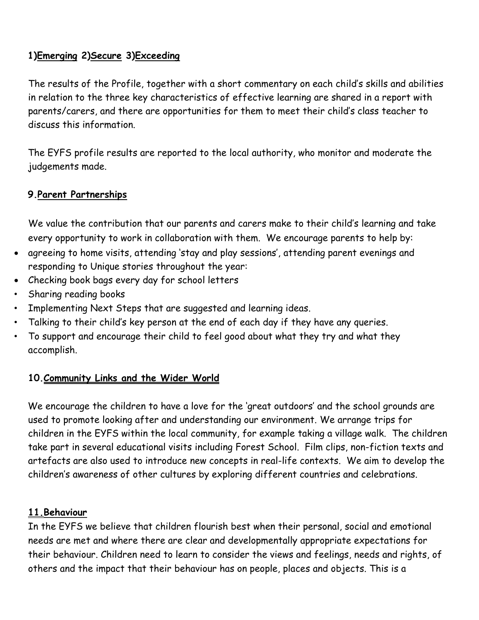## **1)Emerging 2)Secure 3)Exceeding**

The results of the Profile, together with a short commentary on each child's skills and abilities in relation to the three key characteristics of effective learning are shared in a report with parents/carers, and there are opportunities for them to meet their child's class teacher to discuss this information.

The EYFS profile results are reported to the local authority, who monitor and moderate the judgements made.

#### **9.Parent Partnerships**

We value the contribution that our parents and carers make to their child's learning and take every opportunity to work in collaboration with them. We encourage parents to help by:

- agreeing to home visits, attending 'stay and play sessions', attending parent evenings and responding to Unique stories throughout the year:
- Checking book bags every day for school letters
- Sharing reading books
- Implementing Next Steps that are suggested and learning ideas.
- Talking to their child's key person at the end of each day if they have any queries.
- To support and encourage their child to feel good about what they try and what they accomplish.

## **10.Community Links and the Wider World**

We encourage the children to have a love for the 'great outdoors' and the school grounds are used to promote looking after and understanding our environment. We arrange trips for children in the EYFS within the local community, for example taking a village walk. The children take part in several educational visits including Forest School. Film clips, non-fiction texts and artefacts are also used to introduce new concepts in real-life contexts. We aim to develop the children's awareness of other cultures by exploring different countries and celebrations.

#### **11.Behaviour**

In the EYFS we believe that children flourish best when their personal, social and emotional needs are met and where there are clear and developmentally appropriate expectations for their behaviour. Children need to learn to consider the views and feelings, needs and rights, of others and the impact that their behaviour has on people, places and objects. This is a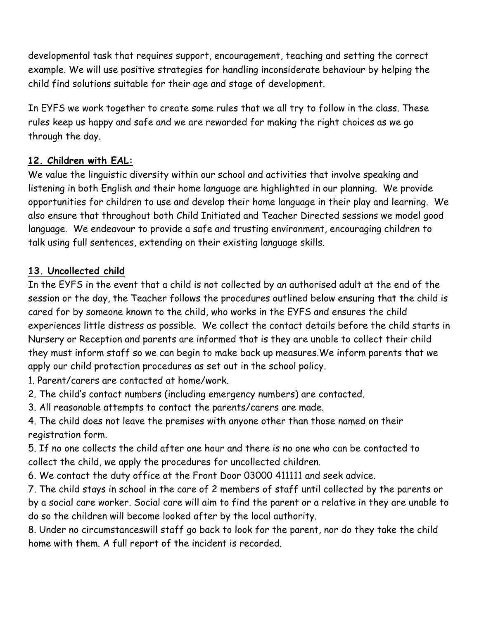developmental task that requires support, encouragement, teaching and setting the correct example. We will use positive strategies for handling inconsiderate behaviour by helping the child find solutions suitable for their age and stage of development.

In EYFS we work together to create some rules that we all try to follow in the class. These rules keep us happy and safe and we are rewarded for making the right choices as we go through the day.

## **12. Children with EAL:**

We value the linguistic diversity within our school and activities that involve speaking and listening in both English and their home language are highlighted in our planning. We provide opportunities for children to use and develop their home language in their play and learning. We also ensure that throughout both Child Initiated and Teacher Directed sessions we model good language. We endeavour to provide a safe and trusting environment, encouraging children to talk using full sentences, extending on their existing language skills.

## **13. Uncollected child**

In the EYFS in the event that a child is not collected by an authorised adult at the end of the session or the day, the Teacher follows the procedures outlined below ensuring that the child is cared for by someone known to the child, who works in the EYFS and ensures the child experiences little distress as possible. We collect the contact details before the child starts in Nursery or Reception and parents are informed that is they are unable to collect their child they must inform staff so we can begin to make back up measures.We inform parents that we apply our child protection procedures as set out in the school policy.

- 1. Parent/carers are contacted at home/work.
- 2. The child's contact numbers (including emergency numbers) are contacted.
- 3. All reasonable attempts to contact the parents/carers are made.
- 4. The child does not leave the premises with anyone other than those named on their registration form.

5. If no one collects the child after one hour and there is no one who can be contacted to collect the child, we apply the procedures for uncollected children.

6. We contact the duty office at the Front Door 03000 411111 and seek advice.

7. The child stays in school in the care of 2 members of staff until collected by the parents or by a social care worker. Social care will aim to find the parent or a relative in they are unable to do so the children will become looked after by the local authority.

8. Under no circumstanceswill staff go back to look for the parent, nor do they take the child home with them. A full report of the incident is recorded.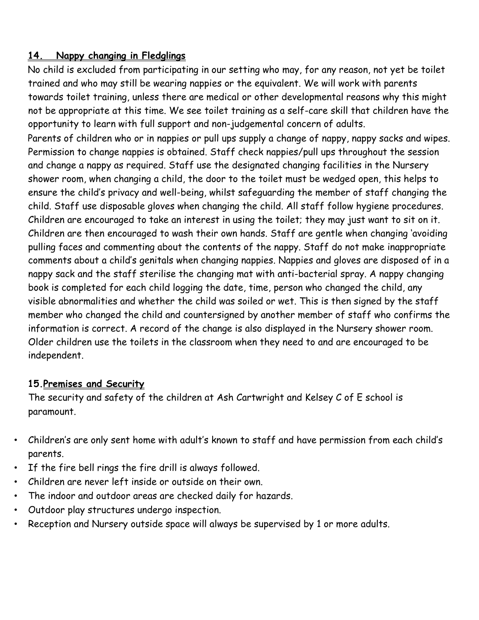## **14. Nappy changing in Fledglings**

No child is excluded from participating in our setting who may, for any reason, not yet be toilet trained and who may still be wearing nappies or the equivalent. We will work with parents towards toilet training, unless there are medical or other developmental reasons why this might not be appropriate at this time. We see toilet training as a self-care skill that children have the opportunity to learn with full support and non-judgemental concern of adults.

Parents of children who or in nappies or pull ups supply a change of nappy, nappy sacks and wipes. Permission to change nappies is obtained. Staff check nappies/pull ups throughout the session and change a nappy as required. Staff use the designated changing facilities in the Nursery shower room, when changing a child, the door to the toilet must be wedged open, this helps to ensure the child's privacy and well-being, whilst safeguarding the member of staff changing the child. Staff use disposable gloves when changing the child. All staff follow hygiene procedures. Children are encouraged to take an interest in using the toilet; they may just want to sit on it. Children are then encouraged to wash their own hands. Staff are gentle when changing 'avoiding pulling faces and commenting about the contents of the nappy. Staff do not make inappropriate comments about a child's genitals when changing nappies. Nappies and gloves are disposed of in a nappy sack and the staff sterilise the changing mat with anti-bacterial spray. A nappy changing book is completed for each child logging the date, time, person who changed the child, any visible abnormalities and whether the child was soiled or wet. This is then signed by the staff member who changed the child and countersigned by another member of staff who confirms the information is correct. A record of the change is also displayed in the Nursery shower room. Older children use the toilets in the classroom when they need to and are encouraged to be independent.

## **15.Premises and Security**

The security and safety of the children at Ash Cartwright and Kelsey C of E school is paramount.

- Children's are only sent home with adult's known to staff and have permission from each child's parents.
- If the fire bell rings the fire drill is always followed.
- Children are never left inside or outside on their own.
- The indoor and outdoor areas are checked daily for hazards.
- Outdoor play structures undergo inspection.
- Reception and Nursery outside space will always be supervised by 1 or more adults.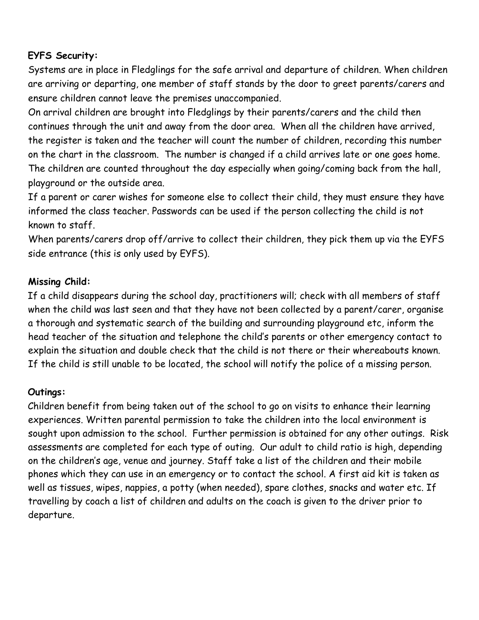#### **EYFS Security:**

Systems are in place in Fledglings for the safe arrival and departure of children. When children are arriving or departing, one member of staff stands by the door to greet parents/carers and ensure children cannot leave the premises unaccompanied.

On arrival children are brought into Fledglings by their parents/carers and the child then continues through the unit and away from the door area. When all the children have arrived, the register is taken and the teacher will count the number of children, recording this number on the chart in the classroom. The number is changed if a child arrives late or one goes home. The children are counted throughout the day especially when going/coming back from the hall, playground or the outside area.

If a parent or carer wishes for someone else to collect their child, they must ensure they have informed the class teacher. Passwords can be used if the person collecting the child is not known to staff.

When parents/carers drop off/arrive to collect their children, they pick them up via the EYFS side entrance (this is only used by EYFS).

## **Missing Child:**

If a child disappears during the school day, practitioners will; check with all members of staff when the child was last seen and that they have not been collected by a parent/carer, organise a thorough and systematic search of the building and surrounding playground etc, inform the head teacher of the situation and telephone the child's parents or other emergency contact to explain the situation and double check that the child is not there or their whereabouts known. If the child is still unable to be located, the school will notify the police of a missing person.

## **Outings:**

Children benefit from being taken out of the school to go on visits to enhance their learning experiences. Written parental permission to take the children into the local environment is sought upon admission to the school. Further permission is obtained for any other outings. Risk assessments are completed for each type of outing. Our adult to child ratio is high, depending on the children's age, venue and journey. Staff take a list of the children and their mobile phones which they can use in an emergency or to contact the school. A first aid kit is taken as well as tissues, wipes, nappies, a potty (when needed), spare clothes, snacks and water etc. If travelling by coach a list of children and adults on the coach is given to the driver prior to departure.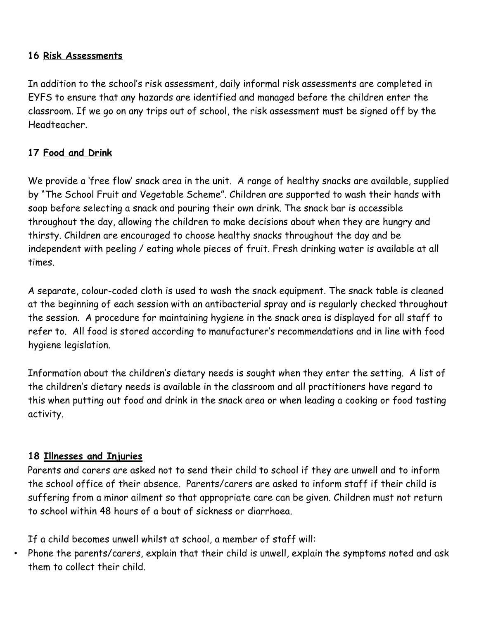## **16 Risk Assessments**

In addition to the school's risk assessment, daily informal risk assessments are completed in EYFS to ensure that any hazards are identified and managed before the children enter the classroom. If we go on any trips out of school, the risk assessment must be signed off by the Headteacher.

### **17 Food and Drink**

We provide a 'free flow' snack area in the unit. A range of healthy snacks are available, supplied by "The School Fruit and Vegetable Scheme". Children are supported to wash their hands with soap before selecting a snack and pouring their own drink. The snack bar is accessible throughout the day, allowing the children to make decisions about when they are hungry and thirsty. Children are encouraged to choose healthy snacks throughout the day and be independent with peeling / eating whole pieces of fruit. Fresh drinking water is available at all times.

A separate, colour-coded cloth is used to wash the snack equipment. The snack table is cleaned at the beginning of each session with an antibacterial spray and is regularly checked throughout the session. A procedure for maintaining hygiene in the snack area is displayed for all staff to refer to. All food is stored according to manufacturer's recommendations and in line with food hygiene legislation.

Information about the children's dietary needs is sought when they enter the setting. A list of the children's dietary needs is available in the classroom and all practitioners have regard to this when putting out food and drink in the snack area or when leading a cooking or food tasting activity.

#### **18 Illnesses and Injuries**

Parents and carers are asked not to send their child to school if they are unwell and to inform the school office of their absence. Parents/carers are asked to inform staff if their child is suffering from a minor ailment so that appropriate care can be given. Children must not return to school within 48 hours of a bout of sickness or diarrhoea.

If a child becomes unwell whilst at school, a member of staff will:

• Phone the parents/carers, explain that their child is unwell, explain the symptoms noted and ask them to collect their child.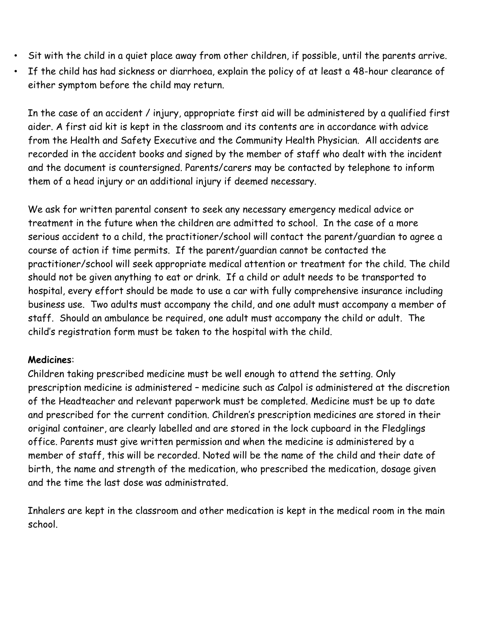- Sit with the child in a quiet place away from other children, if possible, until the parents arrive.
- If the child has had sickness or diarrhoea, explain the policy of at least a 48-hour clearance of either symptom before the child may return.

In the case of an accident / injury, appropriate first aid will be administered by a qualified first aider. A first aid kit is kept in the classroom and its contents are in accordance with advice from the Health and Safety Executive and the Community Health Physician. All accidents are recorded in the accident books and signed by the member of staff who dealt with the incident and the document is countersigned. Parents/carers may be contacted by telephone to inform them of a head injury or an additional injury if deemed necessary.

We ask for written parental consent to seek any necessary emergency medical advice or treatment in the future when the children are admitted to school. In the case of a more serious accident to a child, the practitioner/school will contact the parent/guardian to agree a course of action if time permits. If the parent/guardian cannot be contacted the practitioner/school will seek appropriate medical attention or treatment for the child. The child should not be given anything to eat or drink. If a child or adult needs to be transported to hospital, every effort should be made to use a car with fully comprehensive insurance including business use. Two adults must accompany the child, and one adult must accompany a member of staff. Should an ambulance be required, one adult must accompany the child or adult. The child's registration form must be taken to the hospital with the child.

## **Medicines**:

Children taking prescribed medicine must be well enough to attend the setting. Only prescription medicine is administered – medicine such as Calpol is administered at the discretion of the Headteacher and relevant paperwork must be completed. Medicine must be up to date and prescribed for the current condition. Children's prescription medicines are stored in their original container, are clearly labelled and are stored in the lock cupboard in the Fledglings office. Parents must give written permission and when the medicine is administered by a member of staff, this will be recorded. Noted will be the name of the child and their date of birth, the name and strength of the medication, who prescribed the medication, dosage given and the time the last dose was administrated.

Inhalers are kept in the classroom and other medication is kept in the medical room in the main school.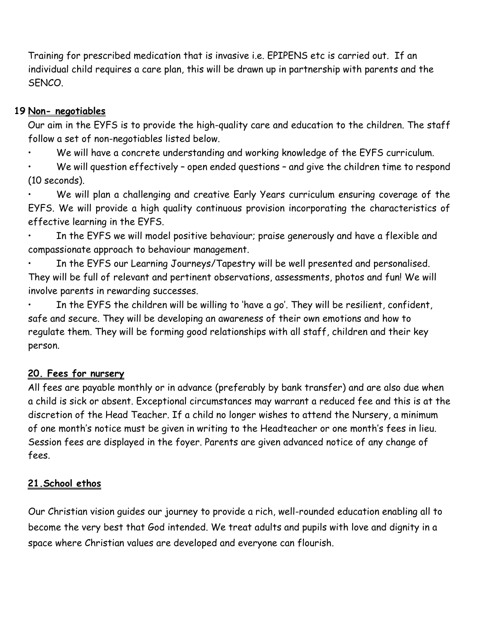Training for prescribed medication that is invasive i.e. EPIPENS etc is carried out. If an individual child requires a care plan, this will be drawn up in partnership with parents and the SENCO.

## **19 Non- negotiables**

Our aim in the EYFS is to provide the high-quality care and education to the children. The staff follow a set of non-negotiables listed below.

- We will have a concrete understanding and working knowledge of the EYFS curriculum.
- We will question effectively open ended questions and give the children time to respond (10 seconds).

• We will plan a challenging and creative Early Years curriculum ensuring coverage of the EYFS. We will provide a high quality continuous provision incorporating the characteristics of effective learning in the EYFS.

• In the EYFS we will model positive behaviour; praise generously and have a flexible and compassionate approach to behaviour management.

• In the EYFS our Learning Journeys/Tapestry will be well presented and personalised. They will be full of relevant and pertinent observations, assessments, photos and fun! We will involve parents in rewarding successes.

• In the EYFS the children will be willing to 'have a go'. They will be resilient, confident, safe and secure. They will be developing an awareness of their own emotions and how to regulate them. They will be forming good relationships with all staff, children and their key person.

# **20. Fees for nursery**

All fees are payable monthly or in advance (preferably by bank transfer) and are also due when a child is sick or absent. Exceptional circumstances may warrant a reduced fee and this is at the discretion of the Head Teacher. If a child no longer wishes to attend the Nursery, a minimum of one month's notice must be given in writing to the Headteacher or one month's fees in lieu. Session fees are displayed in the foyer. Parents are given advanced notice of any change of fees.

# **21.School ethos**

Our Christian vision guides our journey to provide a rich, well-rounded education enabling all to become the very best that God intended. We treat adults and pupils with love and dignity in a space where Christian values are developed and everyone can flourish.